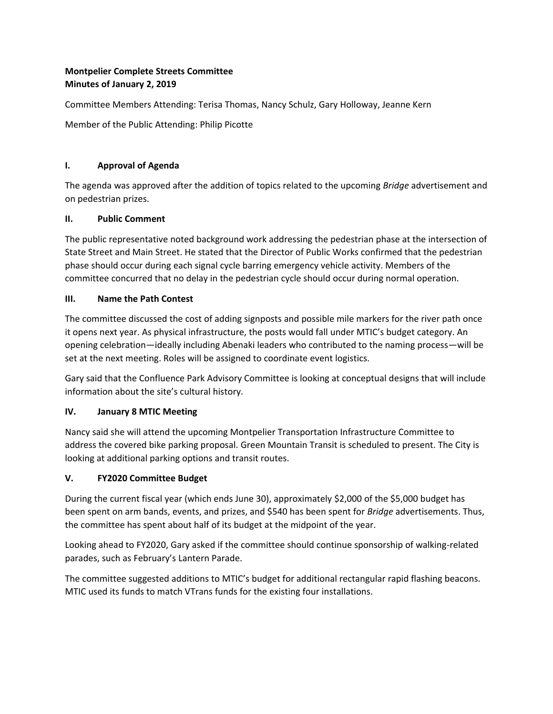## **Montpelier Complete Streets Committee Minutes of January 2, 2019**

Committee Members Attending: Terisa Thomas, Nancy Schulz, Gary Holloway, Jeanne Kern

Member of the Public Attending: Philip Picotte

### **I. Approval of Agenda**

The agenda was approved after the addition of topics related to the upcoming *Bridge* advertisement and on pedestrian prizes.

### **II. Public Comment**

The public representative noted background work addressing the pedestrian phase at the intersection of State Street and Main Street. He stated that the Director of Public Works confirmed that the pedestrian phase should occur during each signal cycle barring emergency vehicle activity. Members of the committee concurred that no delay in the pedestrian cycle should occur during normal operation.

## **III. Name the Path Contest**

The committee discussed the cost of adding signposts and possible mile markers for the river path once it opens next year. As physical infrastructure, the posts would fall under MTIC's budget category. An opening celebration—ideally including Abenaki leaders who contributed to the naming process—will be set at the next meeting. Roles will be assigned to coordinate event logistics.

Gary said that the Confluence Park Advisory Committee is looking at conceptual designs that will include information about the site's cultural history.

# **IV. January 8 MTIC Meeting**

Nancy said she will attend the upcoming Montpelier Transportation Infrastructure Committee to address the covered bike parking proposal. Green Mountain Transit is scheduled to present. The City is looking at additional parking options and transit routes.

# **V. FY2020 Committee Budget**

During the current fiscal year (which ends June 30), approximately \$2,000 of the \$5,000 budget has been spent on arm bands, events, and prizes, and \$540 has been spent for *Bridge* advertisements. Thus, the committee has spent about half of its budget at the midpoint of the year.

Looking ahead to FY2020, Gary asked if the committee should continue sponsorship of walking-related parades, such as February's Lantern Parade.

The committee suggested additions to MTIC's budget for additional rectangular rapid flashing beacons. MTIC used its funds to match VTrans funds for the existing four installations.